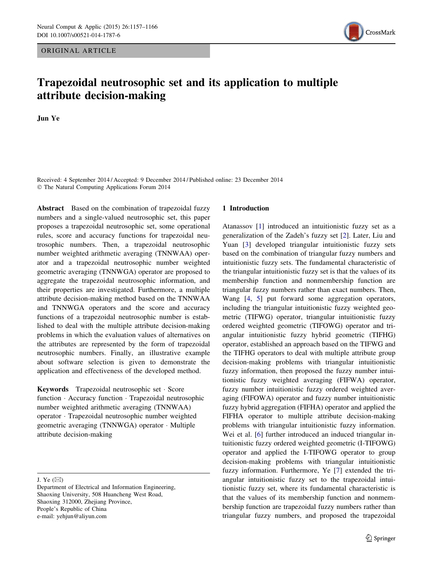ORIGINAL ARTICLE



# Trapezoidal neutrosophic set and its application to multiple attribute decision-making

Jun Ye

Received: 4 September 2014 / Accepted: 9 December 2014 / Published online: 23 December 2014 - The Natural Computing Applications Forum 2014

Abstract Based on the combination of trapezoidal fuzzy numbers and a single-valued neutrosophic set, this paper proposes a trapezoidal neutrosophic set, some operational rules, score and accuracy functions for trapezoidal neutrosophic numbers. Then, a trapezoidal neutrosophic number weighted arithmetic averaging (TNNWAA) operator and a trapezoidal neutrosophic number weighted geometric averaging (TNNWGA) operator are proposed to aggregate the trapezoidal neutrosophic information, and their properties are investigated. Furthermore, a multiple attribute decision-making method based on the TNNWAA and TNNWGA operators and the score and accuracy functions of a trapezoidal neutrosophic number is established to deal with the multiple attribute decision-making problems in which the evaluation values of alternatives on the attributes are represented by the form of trapezoidal neutrosophic numbers. Finally, an illustrative example about software selection is given to demonstrate the application and effectiveness of the developed method.

Keywords Trapezoidal neutrosophic set - Score function - Accuracy function - Trapezoidal neutrosophic number weighted arithmetic averaging (TNNWAA) operator - Trapezoidal neutrosophic number weighted geometric averaging (TNNWGA) operator - Multiple attribute decision-making

J. Ye  $(\boxtimes)$ 

#### 1 Introduction

Atanassov [[1\]](#page-9-0) introduced an intuitionistic fuzzy set as a generalization of the Zadeh's fuzzy set [[2\]](#page-9-0). Later, Liu and Yuan [\[3](#page-9-0)] developed triangular intuitionistic fuzzy sets based on the combination of triangular fuzzy numbers and intuitionistic fuzzy sets. The fundamental characteristic of the triangular intuitionistic fuzzy set is that the values of its membership function and nonmembership function are triangular fuzzy numbers rather than exact numbers. Then, Wang [\[4](#page-9-0), [5](#page-9-0)] put forward some aggregation operators, including the triangular intuitionistic fuzzy weighted geometric (TIFWG) operator, triangular intuitionistic fuzzy ordered weighted geometric (TIFOWG) operator and triangular intuitionistic fuzzy hybrid geometric (TIFHG) operator, established an approach based on the TIFWG and the TIFHG operators to deal with multiple attribute group decision-making problems with triangular intuitionistic fuzzy information, then proposed the fuzzy number intuitionistic fuzzy weighted averaging (FIFWA) operator, fuzzy number intuitionistic fuzzy ordered weighted averaging (FIFOWA) operator and fuzzy number intuitionistic fuzzy hybrid aggregation (FIFHA) operator and applied the FIFHA operator to multiple attribute decision-making problems with triangular intuitionistic fuzzy information. Wei et al. [[6\]](#page-9-0) further introduced an induced triangular intuitionistic fuzzy ordered weighted geometric (I-TIFOWG) operator and applied the I-TIFOWG operator to group decision-making problems with triangular intuitionistic fuzzy information. Furthermore, Ye [[7\]](#page-9-0) extended the triangular intuitionistic fuzzy set to the trapezoidal intuitionistic fuzzy set, where its fundamental characteristic is that the values of its membership function and nonmembership function are trapezoidal fuzzy numbers rather than triangular fuzzy numbers, and proposed the trapezoidal

Department of Electrical and Information Engineering, Shaoxing University, 508 Huancheng West Road, Shaoxing 312000, Zhejiang Province, People's Republic of China e-mail: yehjun@aliyun.com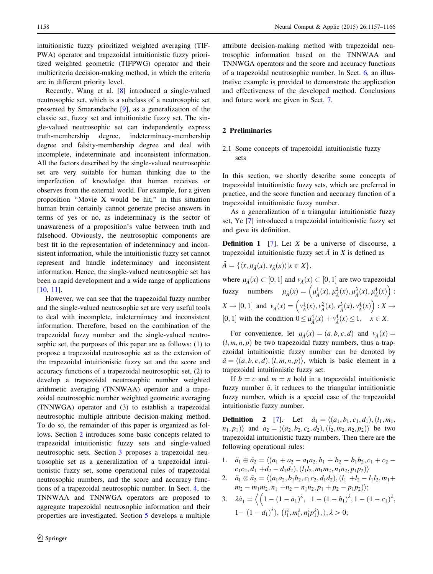intuitionistic fuzzy prioritized weighted averaging (TIF-PWA) operator and trapezoidal intuitionistic fuzzy prioritized weighted geometric (TIFPWG) operator and their multicriteria decision-making method, in which the criteria are in different priority level.

Recently, Wang et al. [[8\]](#page-9-0) introduced a single-valued neutrosophic set, which is a subclass of a neutrosophic set presented by Smarandache [\[9](#page-9-0)], as a generalization of the classic set, fuzzy set and intuitionistic fuzzy set. The single-valued neutrosophic set can independently express truth-membership degree, indeterminacy-membership degree and falsity-membership degree and deal with incomplete, indeterminate and inconsistent information. All the factors described by the single-valued neutrosophic set are very suitable for human thinking due to the imperfection of knowledge that human receives or observes from the external world. For example, for a given proposition ''Movie X would be hit,'' in this situation human brain certainly cannot generate precise answers in terms of yes or no, as indeterminacy is the sector of unawareness of a proposition's value between truth and falsehood. Obviously, the neutrosophic components are best fit in the representation of indeterminacy and inconsistent information, while the intuitionistic fuzzy set cannot represent and handle indeterminacy and inconsistent information. Hence, the single-valued neutrosophic set has been a rapid development and a wide range of applications [\[10](#page-9-0), [11](#page-9-0)].

However, we can see that the trapezoidal fuzzy number and the single-valued neutrosophic set are very useful tools to deal with incomplete, indeterminacy and inconsistent information. Therefore, based on the combination of the trapezoidal fuzzy number and the single-valued neutrosophic set, the purposes of this paper are as follows: (1) to propose a trapezoidal neutrosophic set as the extension of the trapezoidal intuitionistic fuzzy set and the score and accuracy functions of a trapezoidal neutrosophic set, (2) to develop a trapezoidal neutrosophic number weighted arithmetic averaging (TNNWAA) operator and a trapezoidal neutrosophic number weighted geometric averaging (TNNWGA) operator and (3) to establish a trapezoidal neutrosophic multiple attribute decision-making method. To do so, the remainder of this paper is organized as follows. Section 2 introduces some basic concepts related to trapezoidal intuitionistic fuzzy sets and single-valued neutrosophic sets. Section [3](#page-2-0) proposes a trapezoidal neutrosophic set as a generalization of a trapezoidal intuitionistic fuzzy set, some operational rules of trapezoidal neutrosophic numbers, and the score and accuracy functions of a trapezoidal neutrosophic number. In Sect. [4](#page-3-0), the TNNWAA and TNNWGA operators are proposed to aggregate trapezoidal neutrosophic information and their properties are investigated. Section [5](#page-7-0) develops a multiple

attribute decision-making method with trapezoidal neutrosophic information based on the TNNWAA and TNNWGA operators and the score and accuracy functions of a trapezoidal neutrosophic number. In Sect. [6,](#page-7-0) an illustrative example is provided to demonstrate the application and effectiveness of the developed method. Conclusions and future work are given in Sect. [7](#page-9-0).

## 2 Preliminaries

## 2.1 Some concepts of trapezoidal intuitionistic fuzzy sets

In this section, we shortly describe some concepts of trapezoidal intuitionistic fuzzy sets, which are preferred in practice, and the score function and accuracy function of a trapezoidal intuitionistic fuzzy number.

As a generalization of a triangular intuitionistic fuzzy set, Ye [\[7\]](#page-9-0) introduced a trapezoidal intuitionistic fuzzy set and gave its definition.

**Definition 1** [[7\]](#page-9-0). Let  $X$  be a universe of discourse, a trapezoidal intuitionistic fuzzy set  $\tilde{A}$  in X is defined as

$$
\tilde{A} = \{ \langle x, \mu_{\tilde{A}}(x), v_{\tilde{A}}(x) \rangle | x \in X \},\
$$

where  $\mu_{\tilde{A}}(x) \subset [0, 1]$  and  $\nu_{\tilde{A}}(x) \subset [0, 1]$  are two trapezoidal fuzzy numbers  $\mu_{\tilde{A}}(x) = \left(\mu_{\tilde{A}}^1(x), \mu_{\tilde{A}}^2(x), \mu_{\tilde{A}}^3(x), \mu_{\tilde{A}}^4(x)\right)$  $(\mu_{\tilde{\lambda}}^1(x), \mu_{\tilde{\lambda}}^2(x), \mu_{\tilde{\lambda}}^3(x), \mu_{\tilde{\lambda}}^4(x))$ :  $X \to [0, 1]$  and  $v_{\tilde{A}}(x) = \left(v_{\tilde{A}}^1(x), v_{\tilde{A}}^2(x), v_{\tilde{A}}^3(x), v_{\tilde{A}}^4(x)\right)$  $\left(v_{\tilde{\lambda}}^1(x), v_{\tilde{\lambda}}^2(x), v_{\tilde{\lambda}}^3(x), v_{\tilde{\lambda}}^4(x)\right) : X \to$ [0, 1] with the condition  $0 \leq \mu_{\tilde{A}}^4(x) + v_{\tilde{A}}^4(x) \leq 1, \quad x \in X.$ 

For convenience, let  $\mu_{\tilde{A}}(x) = (a, b, c, d)$  and  $\nu_{\tilde{A}}(x) =$  $(l, m, n, p)$  be two trapezoidal fuzzy numbers, thus a trapezoidal intuitionistic fuzzy number can be denoted by  $\tilde{a} = \langle (a, b, c, d), (l, m, n, p) \rangle$ , which is basic element in a trapezoidal intuitionistic fuzzy set.

If  $b = c$  and  $m = n$  hold in a trapezoidal intuitionistic fuzzy number  $\tilde{a}$ , it reduces to the triangular intuitionistic fuzzy number, which is a special case of the trapezoidal intuitionistic fuzzy number.

**Definition** 2 [\[7](#page-9-0)]. Let  $\tilde{a}_1 = \langle (a_1, b_1, c_1, d_1), (l_1, m_1, d_1) \rangle$  $(n_1, p_1)$  and  $\tilde{a}_2 = \langle (a_2, b_2, c_2, d_2), (l_2, m_2, n_2, p_2) \rangle$  be two trapezoidal intuitionistic fuzzy numbers. Then there are the following operational rules:

- 1.  $\tilde{a}_1 \oplus \tilde{a}_2 = \langle (a_1 + a_2 a_1 a_2, b_1 + b_2 b_1 b_2, c_1 + c_2 b_2 b_2 \rangle$  $c_1c_2, d_1 + d_2 - d_1d_2$ ,  $(l_1l_2, m_1m_2, n_1n_2, p_1p_2)$
- 2.  $\tilde{a}_1 \otimes \tilde{a}_2 = \langle (a_1a_2, b_1b_2, c_1c_2, d_1d_2), (l_1 + l_2 l_1l_2, m_1 + l_2d_2 \rangle \rangle$  $m_2 - m_1 m_2, n_1 + n_2 - n_1 n_2, p_1 + p_2 - p_1 p_2$ );
- 3.  $\lambda \tilde{a}_1 = \left\langle \left( 1 (1 a_1)^{\lambda} \right) \right\rangle$  $\sqrt{(1-(1-a_1)^{\lambda}, 1-(1-b_1)^{\lambda}, 1-(1-c_1)^{\lambda})}$  $1 - (1 - d_1)^{\lambda}$ ,  $(l_1^{\lambda}, m_1^{\lambda}, n_1^{\lambda} p_1^{\lambda})$ ,  $\lambda > 0$ ;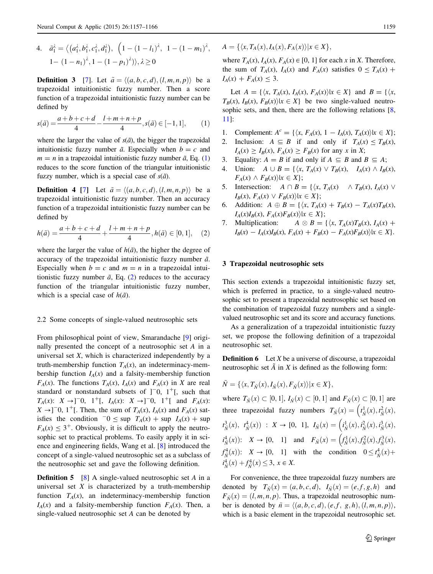<span id="page-2-0"></span>4. 
$$
\tilde{a}_1^{\lambda} = \langle (a_1^{\lambda}, b_1^{\lambda}, c_1^{\lambda}, d_1^{\lambda}), (1 - (1 - l_1)^{\lambda}, 1 - (1 - m_1)^{\lambda}, 1 - (1 - n_1)^{\lambda}, 1 - (1 - p_1)^{\lambda}) \rangle, \lambda \ge 0
$$

**Definition 3** [\[7](#page-9-0)]. Let  $\tilde{a} = \langle (a, b, c, d), (l, m, n, p) \rangle$  be a trapezoidal intuitionistic fuzzy number. Then a score function of a trapezoidal intuitionistic fuzzy number can be defined by

$$
s(\tilde{a}) = \frac{a+b+c+d}{4} - \frac{l+m+n+p}{4}, s(\tilde{a}) \in [-1,1],
$$
 (1)

where the larger the value of  $s(\tilde{a})$ , the bigger the trapezoidal intuitionistic fuzzy number  $\tilde{a}$ . Especially when  $b = c$  and  $m = n$  in a trapezoidal intuitionistic fuzzy number  $\tilde{a}$ , Eq. (1) reduces to the score function of the triangular intuitionistic fuzzy number, which is a special case of  $s(\tilde{a})$ .

**Definition 4** [[7](#page-9-0)] Let  $\tilde{a} = \langle (a, b, c, d), (l, m, n, p) \rangle$  be a trapezoidal intuitionistic fuzzy number. Then an accuracy function of a trapezoidal intuitionistic fuzzy number can be defined by

$$
h(\tilde{a}) = \frac{a+b+c+d}{4} + \frac{l+m+n+p}{4}, h(\tilde{a}) \in [0,1], \quad (2)
$$

where the larger the value of  $h(\tilde{a})$ , the higher the degree of accuracy of the trapezoidal intuitionistic fuzzy number  $\tilde{a}$ . Especially when  $b = c$  and  $m = n$  in a trapezoidal intuitionistic fuzzy number  $\tilde{a}$ , Eq. (2) reduces to the accuracy function of the triangular intuitionistic fuzzy number, which is a special case of  $h(\tilde{a})$ .

#### 2.2 Some concepts of single-valued neutrosophic sets

From philosophical point of view, Smarandache [\[9](#page-9-0)] originally presented the concept of a neutrosophic set A in a universal set  $X$ , which is characterized independently by a truth-membership function  $T_A(x)$ , an indeterminacy-membership function  $I_A(x)$  and a falsity-membership function  $F_A(x)$ . The functions  $T_A(x)$ ,  $I_A(x)$  and  $F_A(x)$  in X are real standard or nonstandard subsets of  $]$ <sup>-</sup>0, 1<sup>+</sup>[, such that  $T_A(x)$ :  $X \to ]-0$ ,  $1^+$ [,  $I_A(x)$ :  $X \to ]-0$ ,  $1^+$ [ and  $F_A(x)$ :  $X \rightarrow$ ]<sup>-</sup>0, 1<sup>+</sup>[. Then, the sum of  $T_A(x)$ ,  $I_A(x)$  and  $F_A(x)$  satisfies the condition  $-0 \leq \sup T_A(x) + \sup I_A(x) + \sup$  $F_A(x) \leq 3^+$ . Obviously, it is difficult to apply the neutrosophic set to practical problems. To easily apply it in science and engineering fields, Wang et al. [[8\]](#page-9-0) introduced the concept of a single-valued neutrosophic set as a subclass of the neutrosophic set and gave the following definition.

**Definition 5** [[8\]](#page-9-0) A single-valued neutrosophic set A in a universal set  $X$  is characterized by a truth-membership function  $T_A(x)$ , an indeterminacy-membership function  $I_A(x)$  and a falsity-membership function  $F_A(x)$ . Then, a single-valued neutrosophic set A can be denoted by

 $A = \{ \langle x, T_A(x), I_A(x), F_A(x) \rangle | x \in X \},\$ 

where  $T_A(x)$ ,  $I_A(x)$ ,  $F_A(x) \in [0, 1]$  for each x in X. Therefore, the sum of  $T_A(x)$ ,  $I_A(x)$  and  $F_A(x)$  satisfies  $0 \leq T_A(x)$  +  $I_A(x) + F_A(x) \leq 3.$ 

Let  $A = \{ \langle x, T_A(x), I_A(x), F_A(x) \rangle | x \in X \}$  and  $B = \{ \langle x, T_A(x), I_A(x), F_A(x) \rangle | x \in X \}$  $T_B(x)$ ,  $I_B(x)$ ,  $F_B(x)$ | $x \in X$  be two single-valued neutro-sophic sets, and then, there are the following relations [[8,](#page-9-0) [11](#page-9-0)]:

- 1. Complement:  $A^{c} = \{ \langle x, F_{A}(x), 1 I_{A}(x), T_{A}(x) \rangle | x \in X \};$
- 2. Inclusion:  $A \subseteq B$  if and only if  $T_A(x) \le T_B(x)$ ,  $I_A(x) \geq I_B(x)$ ,  $F_A(x) \geq F_B(x)$  for any x in X;
- 3. Equality:  $A = B$  if and only if  $A \subseteq B$  and  $B \subseteq A$ ;
- 4. Union:  $A \cup B = \{ \langle x, T_A(x) \lor T_B(x), I_A(x) \land I_B(x), \rangle \}$  $F_A(x) \wedge F_B(x)$ | $x \in X$ };
- 5. Intersection:  $A \cap B = \{ \langle x, T_A(x) \land T_B(x), I_A(x) \lor$  $I_B(x)$ ,  $F_A(x) \vee F_B(x)$ |x  $\in X$  };
- 6. Addition:  $A \oplus B = \{ \langle x, T_A(x) + T_B(x) T_A(x)T_B(x), \rangle \}$  $I_A(x)I_B(x), F_A(x)F_B(x)\&\in X$ ;
- 7. Multiplication:  $A \otimes B = \{ \langle x, T_A(x)T_B(x), I_A(x) +$  $I_B(x) - I_A(x)I_B(x), F_A(x) + F_B(x) - F_A(x)F_B(x)$ | $x \in X$  }.

#### 3 Trapezoidal neutrosophic sets

This section extends a trapezoidal intuitionistic fuzzy set, which is preferred in practice, to a single-valued neutrosophic set to present a trapezoidal neutrosophic set based on the combination of trapezoidal fuzzy numbers and a singlevalued neutrosophic set and its score and accuracy functions.

As a generalization of a trapezoidal intuitionistic fuzzy set, we propose the following definition of a trapezoidal neutrosophic set.

**Definition 6** Let  $X$  be a universe of discourse, a trapezoidal neutrosophic set  $\tilde{A}$  in X is defined as the following form:

$$
\tilde{N} = \{ \langle x, T_{\tilde{N}}(x), I_{\tilde{N}}(x), F_{\tilde{N}}(x) \rangle | x \in X \},\
$$

where  $T_{\tilde{N}}(x) \subset [0, 1], I_{\tilde{N}}(x) \subset [0, 1]$  and  $F_{\tilde{N}}(x) \subset [0, 1]$  are three trapezoidal fuzzy numbers  $T_{\tilde{N}}(x) = \left(t_{\tilde{N}}^1(x), t_{\tilde{N}}^2(x)\right)$ ر.<br>ا  $t^3_{\tilde{N}}(x), t^4_{\tilde{N}}(x) : X \to [0, 1], I_{\tilde{N}}(x) = (i^1_{\tilde{N}}(x), i^2_{\tilde{N}}(x), i^3_{\tilde{N}}(x)),$   $i^4_{\tilde{N}}(x)$ :  $X \to [0, 1]$  and  $F_{\tilde{N}}(x) = (f_{\tilde{N}}^1(x), f_{\tilde{N}}^2(x), f_{\tilde{N}}^3(x))$  $\left\langle \right\rangle$  $f_{\tilde{N}}^4(x)$ :  $X \to [0, 1]$  with the condition  $0 \leq t_{\tilde{N}}^4(x)$ +  $i_{\tilde{N}}^4(x) + f_{\tilde{N}}^4(x) \leq 3, x \in X.$ 

For convenience, the three trapezoidal fuzzy numbers are denoted by  $T_{\tilde{N}}(x) = (a, b, c, d), I_{\tilde{N}}(x) = (e, f, g, h)$  and  $F_{\tilde{N}}(x) = (l, m, n, p)$ . Thus, a trapezoidal neutrosophic number is denoted by  $\tilde{n} = \langle (a, b, c, d), (e, f, g, h), (l, m, n, p) \rangle$ , which is a basic element in the trapezoidal neutrosophic set.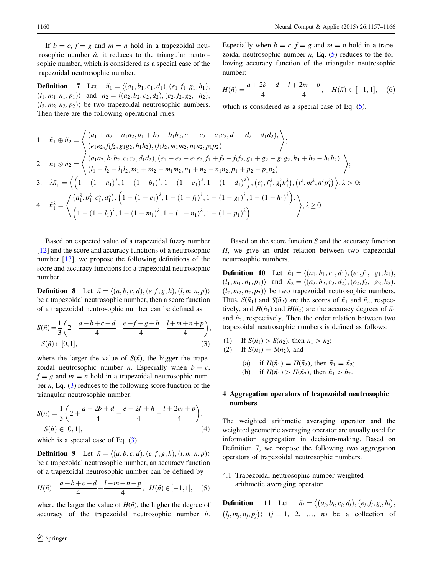<span id="page-3-0"></span>If  $b = c$ ,  $f = g$  and  $m = n$  hold in a trapezoidal neutrosophic number  $\tilde{a}$ , it reduces to the triangular neutrosophic number, which is considered as a special case of the trapezoidal neutrosophic number.

**Definition** 7 Let  $\tilde{n}_1 = \langle (a_1, b_1, c_1, d_1), (e_1, f_1, g_1, h_1),$  $(l_1, m_1, n_1, p_1)$  and  $\tilde{n}_2 = \langle (a_2, b_2, c_2, d_2), (e_2, f_2, g_2, h_2),$  $(l_2, m_2, n_2, p_2)$  be two trapezoidal neutrosophic numbers. Then there are the following operational rules:

Especially when  $b = c$ ,  $f = g$  and  $m = n$  hold in a trapezoidal neutrosophic number  $\tilde{n}$ , Eq. (5) reduces to the following accuracy function of the triangular neutrosophic number:

$$
H(\tilde{n}) = \frac{a+2b+d}{4} - \frac{l+2m+p}{4}, \quad H(\tilde{n}) \in [-1,1], \quad (6)
$$

which is considered as a special case of Eq.  $(5)$ .

1. 
$$
\tilde{n}_1 \oplus \tilde{n}_2 = \begin{cases} (a_1 + a_2 - a_1 a_2, b_1 + b_2 - b_1 b_2, c_1 + c_2 - c_1 c_2, d_1 + d_2 - d_1 d_2), \\ (e_1 e_2, f_1 f_2, g_1 g_2, h_1 h_2), (l_1 l_2, m_1 m_2, n_1 n_2, p_1 p_2) \end{cases}
$$
  
\n2.  $\tilde{n}_1 \otimes \tilde{n}_2 = \begin{cases} (a_1 a_2, b_1 b_2, c_1 c_2, d_1 d_2), (e_1 + e_2 - e_1 e_2, f_1 + f_2 - f_1 f_2, g_1 + g_2 - g_1 g_2, h_1 + h_2 - h_1 h_2), \\ (l_1 + l_2 - l_1 l_2, m_1 + m_2 - m_1 m_2, n_1 + n_2 - n_1 n_2, p_1 + p_2 - p_1 p_2) \end{cases}$   
\n3.  $\lambda \tilde{n}_1 = \left\langle \left(1 - (1 - a_1)^{\lambda}, 1 - (1 - b_1)^{\lambda}, 1 - (1 - c_1)^{\lambda}, 1 - (1 - d_1)^{\lambda}\right), (e_1^{\lambda}, f_1^{\lambda}, g_1^{\lambda} h_1^{\lambda}), (l_1^{\lambda}, m_1^{\lambda}, n_1^{\lambda} p_1^{\lambda}) \right\rangle, \lambda > 0;$   
\n4.  $\tilde{n}_1^{\lambda} = \left\langle \left( a_1^{\lambda}, b_1^{\lambda}, c_1^{\lambda}, d_1^{\lambda} \right), \left(1 - (1 - e_1)^{\lambda}, 1 - (1 - f_1)^{\lambda}, 1 - (1 - g_1)^{\lambda}, 1 - (1 - h_1)^{\lambda} \right), \lambda \ge 0.$   
\n $\left(1 - (1 - l_1)^{\lambda}, 1 - (1 - m_1)^{\lambda}, 1 - (1 - n_1)^{\lambda}, 1 - (1 - p_1)^{\lambda} \right) \right\rangle, \lambda \ge 0.$ 

Based on expected value of a trapezoidal fuzzy number [\[12](#page-9-0)] and the score and accuracy functions of a neutrosophic number [[13\]](#page-9-0), we propose the following definitions of the score and accuracy functions for a trapezoidal neutrosophic number.

**Definition 8** Let  $\tilde{n} = \langle (a, b, c, d), (e, f, g, h), (l, m, n, p) \rangle$ be a trapezoidal neutrosophic number, then a score function of a trapezoidal neutrosophic number can be defined as

$$
S(\tilde{n}) = \frac{1}{3} \left( 2 + \frac{a+b+c+d}{4} - \frac{e+f+g+h}{4} - \frac{l+m+n+p}{4} \right),
$$
  
\n
$$
S(\tilde{n}) \in [0,1],
$$
\n(3)

where the larger the value of  $S(\tilde{n})$ , the bigger the trapezoidal neutrosophic number  $\tilde{n}$ . Especially when  $b = c$ ,  $f = g$  and  $m = n$  hold in a trapezoidal neutrosophic number  $\tilde{n}$ , Eq. (3) reduces to the following score function of the triangular neutrosophic number:

$$
S(\tilde{n}) = \frac{1}{3} \left( 2 + \frac{a + 2b + d}{4} - \frac{e + 2f + h}{4} - \frac{l + 2m + p}{4} \right),
$$
  
\n
$$
S(\tilde{n}) \in [0, 1],
$$
\n(4)

which is a special case of Eq.  $(3)$ .

**Definition 9** Let  $\tilde{n} = \langle (a, b, c, d), (e, f, g, h), (l, m, n, p) \rangle$ be a trapezoidal neutrosophic number, an accuracy function of a trapezoidal neutrosophic number can be defined by

$$
H(\tilde{n}) = \frac{a+b+c+d}{4} - \frac{l+m+n+p}{4}, \ \ H(\tilde{n}) \in [-1,1], \quad (5)
$$

where the larger the value of  $H(\tilde{n})$ , the higher the degree of accuracy of the trapezoidal neutrosophic number  $\tilde{n}$ .

Based on the score function  $S$  and the accuracy function H, we give an order relation between two trapezoidal neutrosophic numbers.

**Definition 10** Let  $\tilde{n}_1 = \langle (a_1, b_1, c_1, d_1), (e_1, f_1, g_1, h_1),$  $(l_1, m_1, n_1, p_1)$  and  $\tilde{n}_2 = \langle (a_2, b_2, c_2, d_2), (e_2, f_2, g_2, h_2) \rangle$  $(l_2, m_2, n_2, p_2)$  be two trapezoidal neutrosophic numbers. Thus,  $S(\tilde{n}_1)$  and  $S(\tilde{n}_2)$  are the scores of  $\tilde{n}_1$  and  $\tilde{n}_2$ , respectively, and  $H(\tilde{n}_1)$  and  $H(\tilde{n}_2)$  are the accuracy degrees of  $\tilde{n}_1$ and  $\tilde{n}_2$ , respectively. Then the order relation between two trapezoidal neutrosophic numbers is defined as follows:

- (1) If  $S(\tilde{n}_1) > S(\tilde{n}_2)$ , then  $\tilde{n}_1 > \tilde{n}_2$ ;
- (2) If  $S(\tilde{n}_1) = S(\tilde{n}_2)$ , and
	- (a) if  $H(\tilde{n}_1) = H(\tilde{n}_2)$ , then  $\tilde{n}_1 = \tilde{n}_2$ ;
	- (b) if  $H(\tilde{n}_1) > H(\tilde{n}_2)$ , then  $\tilde{n}_1 > \tilde{n}_2$ .

### 4 Aggregation operators of trapezoidal neutrosophic numbers

The weighted arithmetic averaging operator and the weighted geometric averaging operator are usually used for information aggregation in decision-making. Based on Definition 7, we propose the following two aggregation operators of trapezoidal neutrosophic numbers.

4.1 Trapezoidal neutrosophic number weighted arithmetic averaging operator

**Definition** 11 Let  $\tilde{n}_j = \langle (a_j, b_j, c_j, d_j), (e_j, f_j, g_j, h_j),$  $(l_j, m_j, n_j, p_j)$   $(j = 1, 2, ..., n)$  be a collection of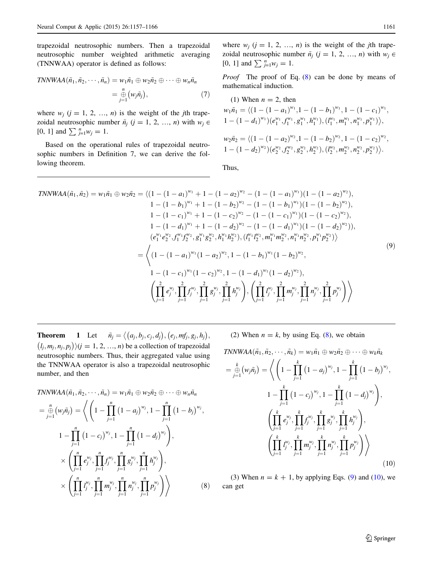<span id="page-4-0"></span>trapezoidal neutrosophic numbers. Then a trapezoidal neutrosophic number weighted arithmetic averaging (TNNWAA) operator is defined as follows:

$$
TNNWAA(\tilde{n}_1, \tilde{n}_2, \cdots, \tilde{n}_n) = w_1 \tilde{n}_1 \oplus w_2 \tilde{n}_2 \oplus \cdots \oplus w_n \tilde{n}_n
$$
  
=  $\bigoplus_{j=1}^n (w_j \tilde{n}_j),$  (7)

where  $w_i$  ( $j = 1, 2, ..., n$ ) is the weight of the jth trapezoidal neutrosophic number  $\tilde{n}_j$  (j = 1, 2, ..., n) with  $w_j \in$ [0, 1] and  $\sum_{j=1}^{n} w_j = 1$ .

Based on the operational rules of trapezoidal neutrosophic numbers in Definition 7, we can derive the following theorem.

Proof The proof of Eq. (8) can be done by means of mathematical induction.

(1) When 
$$
n = 2
$$
, then  
\n
$$
w_1 \tilde{n}_1 = \langle (1 - (1 - a_1)^{w_1}, 1 - (1 - b_1)^{w_1}, 1 - (1 - c_1)^{w_1}, 1 - (1 - d_1)^{w_1}) (e_1^{w_1}, f_1^{w_1}, g_1^{w_1}, h_1^{w_1}), (l_1^{w_1}, m_1^{w_1}, n_1^{w_1}, p_1^{w_1}) \rangle,
$$
\n
$$
w_2 \tilde{n}_2 = \langle (1 - (1 - a_2)^{w_2}, 1 - (1 - b_2)^{w_2}, 1 - (1 - c_2)^{w_2}, 1 - (1 - d_2)^{w_2}) (e_2^{w_2}, f_2^{w_2}, g_2^{w_2}, h_2^{w_2}), (l_2^{w_2}, m_2^{w_2}, n_2^{w_2}, p_2^{w_2}) \rangle.
$$

Thus,

TNNWAA(
$$
\tilde{n}_1, \tilde{n}_2
$$
) =  $w_1 \tilde{n}_1 \oplus w_2 \tilde{n}_2 = \langle (1 - (1 - a_1)^{w_1} + 1 - (1 - a_2)^{w_2} - (1 - (1 - a_1)^{w_1})(1 - (1 - a_2)^{w_2}),$   
\n $1 - (1 - b_1)^{w_1} + 1 - (1 - b_2)^{w_2} - (1 - (1 - b_1)^{w_1})(1 - (1 - b_2)^{w_2}),$   
\n $1 - (1 - c_1)^{w_1} + 1 - (1 - c_2)^{w_2} - (1 - (1 - c_1)^{w_1})(1 - (1 - c_2)^{w_2}),$   
\n $1 - (1 - d_1)^{w_1} + 1 - (1 - d_2)^{w_2} - (1 - (1 - d_1)^{w_1})(1 - (1 - d_2)^{w_2}),$   
\n $(e_1^{w_1} e_2^{w_2}, f_1^{w_1} f_2^{w_2}, g_1^{w_1} g_2^{w_2}, h_1^{w_1} h_2^{w_2}), (l_1^{w_1} l_2^{w_2}, m_1^{w_1} m_2^{w_2}, m_1^{w_1} n_2^{w_2}, p_1^{w_1} p_2^{w_2})\rangle$   
\n $= \langle (1 - (1 - a_1)^{w_1} (1 - a_2)^{w_2}, 1 - (1 - b_1)^{w_1} (1 - b_2)^{w_2},$   
\n $1 - (1 - c_1)^{w_1} (1 - c_2)^{w_2}, 1 - (1 - d_1)^{w_1} (1 - d_2)^{w_2}),$   
\n $\left(\prod_{j=1}^2 e_j^{w_j}, \prod_{j=1}^2 f_j^{w_j}, \prod_{j=1}^2 g_j^{w_j}, \prod_{j=1}^2 h_j^{w_j}\right), \left(\prod_{j=1}^2 l_j^{w_j}, \prod_{j=1}^2 m_j^{w_j}, \prod_{j=1}^2 n_j^{w_j}, \prod_{j=1}^2 p_j^{w_j}\right)\rangle$ 

**Theorem** 1 Let  $\tilde{n}_j = \langle (a_j, b_j, c_j, d_j), (e_j, mf_j, g_j, h_j), (h_j, mf_j, g_j, h_j) \rangle$  $(l_j, m_j, n_j, p_j)$   $\langle j = 1, 2, ..., n \rangle$  be a collection of trapezoidal neutrosophic numbers. Thus, their aggregated value using the TNNWAA operator is also a trapezoidal neutrosophic number, and then

TNNWAA(
$$
\tilde{n}_1, \tilde{n}_2, \dots, \tilde{n}_n
$$
) =  $w_1 \tilde{n}_1 \oplus w_2 \tilde{n}_2 \oplus \dots \oplus w_n \tilde{n}_n$   
\n= $\bigoplus_{j=1}^n (w_j \tilde{n}_j) = \left\langle \left(1 - \prod_{j=1}^n (1 - a_j)^{w_j}, 1 - \prod_{j=1}^n (1 - b_j)^{w_j}, 1 - \prod_{j=1}^n (1 - b_j)^{w_j}\right), \right.\right\rangle$   
\n $\times \left(\prod_{j=1}^n e_j^{w_j}, \prod_{j=1}^n f_j^{w_j}, \prod_{j=1}^n g_j^{w_j}, \prod_{j=1}^n h_j^{w_j}\right),$   
\n $\times \left(\prod_{j=1}^n l_j^{w_j}, \prod_{j=1}^n m_j^{w_j}, \prod_{j=1}^n n_j^{w_j}, \prod_{j=1}^n p_j^{w_j}\right)$  (8)

(2) When  $n = k$ , by using Eq. (8), we obtain

TNNWAA(
$$
\tilde{n}_1, \tilde{n}_2, \dots, \tilde{n}_k
$$
) =  $w_1 \tilde{n}_1 \oplus w_2 \tilde{n}_2 \oplus \dots \oplus w_k \tilde{n}_k$   
\n= $\bigoplus_{j=1}^k (w_j \tilde{n}_j) = \left\langle \left(1 - \prod_{j=1}^k (1 - a_j)^{w_j}, 1 - \prod_{j=1}^k (1 - b_j)^{w_j}, 1 - \prod_{j=1}^k (1 - b_j)^{w_j}\right), \left(\prod_{j=1}^k e_j^{w_j}, \prod_{j=1}^k f_j^{w_j}, \prod_{j=1}^k g_j^{w_j}, \prod_{j=1}^k h_j^{w_j}\right), \left(\prod_{j=1}^k t_j^{w_j}, \prod_{j=1}^k m_j^{w_j}, \prod_{j=1}^k n_j^{w_j}, \prod_{j=1}^k p_j^{w_j}\right) \right\rangle$  (10)

(3) When  $n = k + 1$ , by applying Eqs. (9) and (10), we can get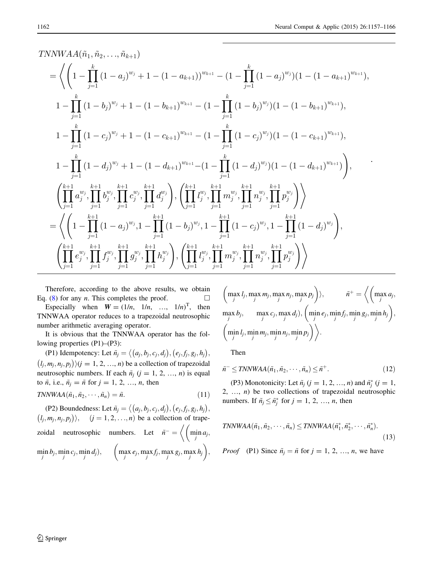.

TNNWA
$$
(\tilde{n}_1, \tilde{n}_2, ..., \tilde{n}_{k+1})
$$
  
\n
$$
= \left\langle \left(1 - \prod_{j=1}^k (1 - a_j)^{w_j} + 1 - (1 - a_{k+1}))^{w_{k+1}} - (1 - \prod_{j=1}^k (1 - a_j)^{w_j})(1 - (1 - a_{k+1})^{w_{k+1}}), 1 - \prod_{j=1}^k (1 - b_j)^{w_j} + 1 - (1 - b_{k+1})^{w_{k+1}} - (1 - \prod_{j=1}^k (1 - b_j)^{w_j})(1 - (1 - b_{k+1})^{w_{k+1}}), 1 - \prod_{j=1}^k (1 - c_j)^{w_j} + 1 - (1 - c_{k+1})^{w_{k+1}} - (1 - \prod_{j=1}^k (1 - c_j)^{w_j})(1 - (1 - c_{k+1})^{w_{k+1}}), 1 - \prod_{j=1}^k (1 - d_j)^{w_j} + 1 - (1 - d_{k+1})^{w_{k+1}} - (1 - \prod_{j=1}^k (1 - d_j)^{w_j})(1 - (1 - d_{k+1})^{w_{k+1}}), 1 - \prod_{j=1}^k (1 - d_j)^{w_j}, \prod_{j=1}^{k+1} d_j^{w_j}, \prod_{j=1}^{k+1} d_j^{w_j}, \prod_{j=1}^{k+1} d_j^{w_j}, \prod_{j=1}^{k+1} d_j^{w_j}, \prod_{j=1}^{k+1} d_j^{w_j}, \prod_{j=1}^{k+1} d_j^{w_j}, \prod_{j=1}^{k+1} p_j^{w_j}, \prod_{j=1}^{k+1} p_j^{w_j}, \prod_{j=1}^{k+1} p_j^{w_j}, \prod_{j=1}^{k+1} p_j^{w_j}, \prod_{j=1}^{k+1} (1 - d_j)^{w_j}, 1 - \prod_{j=1}^{k+1} (1 - c_j)^{w_j}, 1 - \prod_{j=1}^{k+1} (1 - c_j)^{w_j}, \prod_{j=1}^{k+1} d_j^{w_j}, \prod_{j=1}^{k+1} d_j^{w_j}, \prod_{j=1}^{k+1} d_j^{w_j}, \prod_{j=1}^{k+1} d_j^{w_j}, \prod_{j=1}^{k+1} d_j^{w_j}, \prod_{j=1}^{k+1} d_j^{w
$$

Therefore, according to the above results, we obtain Eq. [\(8](#page-4-0)) for any *n*. This completes the proof.  $\Box$ 

Especially when  $W = (1/n, 1/n, ..., 1/n)^T$ , then TNNWAA operator reduces to a trapezoidal neutrosophic number arithmetic averaging operator.

It is obvious that the TNNWAA operator has the following properties (P1)–(P3):

(P1) Idempotency: Let  $\tilde{n}_j = \langle (a_j, b_j, c_j, d_j), (e_j, f_j, g_j, h_j) \rangle$  $\sum_{j=1}^{n} (l_j, m_j, n_j, p_j)$   $\forall j \in \{1, 2, ..., n\}$  be a collection of trapezoidal neutrosophic numbers. If each  $\tilde{n}_j$  ( $j = 1, 2, ..., n$ ) is equal to  $\tilde{n}$ , i.e.,  $\tilde{n}_j = \tilde{n}$  for  $j = 1, 2, ..., n$ , then

$$
TNNWAA(\tilde{n}_1, \tilde{n}_2, \cdots, \tilde{n}_n) = \tilde{n}.\tag{11}
$$

(P2) Boundedness: Let  $\tilde{n}_j = \langle (a_j, b_j, c_j, d_j), (e_j, f_j, g_j, h_j),$  $(l_j, m_j, n_j, p_j)$ ,  $(j = 1, 2, ..., n)$  be a collection of trapezoidal neutrosophic numbers. Let  $\tilde{n}^- = \left\langle \begin{array}{cc} \min_j a_j, \end{array} \right\rangle$  $\frac{1}{2}$  $\min_j b_j$ ,  $\min_j c_j$ ,  $\min_j$  $d_j$ ),  $\left(\max_j e_j, \max_j f_j, \max_j g_j, \max_j h_j\right)$  $\sqrt{2}$ ;

$$
\left(\max_{j} l_{j}, \max_{j} m_{j}, \max_{j} n_{j}, \max_{j} p_{j}\right), \qquad \tilde{n}^{+} = \left\langle \left(\max_{j} a_{j}, \max_{j} b_{j}, \max_{j} c_{j}, \max_{j} d_{j}\right), \left(\min_{j} e_{j}, \min_{j} f_{j}, \min_{j} g_{j}, \min_{j} h_{j}\right), \left(\min_{j} l_{j}, \min_{j} m_{j}, \min_{j} n_{j}, \min_{j} p_{j}\right) \right\rangle.
$$

Then

$$
\tilde{n}^- \leq TNNWAA(\tilde{n}_1, \tilde{n}_2, \cdots, \tilde{n}_n) \leq \tilde{n}^+.
$$
\n(12)

(P3) Monotonicity: Let  $\tilde{n}_j$  ( $j = 1, 2, ..., n$ ) and  $\tilde{n}_j^*$  ( $j = 1$ , 2, ...,  $n$ ) be two collections of trapezoidal neutrosophic numbers. If  $\tilde{n}_j \leq \tilde{n}_j^*$  for  $j = 1, 2, ..., n$ , then

$$
TNNWAA(\tilde{n}_1, \tilde{n}_2, \cdots, \tilde{n}_n) \leq TNNWAA(\tilde{n}_1^*, \tilde{n}_2^*, \cdots, \tilde{n}_n^*).
$$
\n(13)

*Proof* (P1) Since  $\tilde{n}_j = \tilde{n}$  for  $j = 1, 2, ..., n$ , we have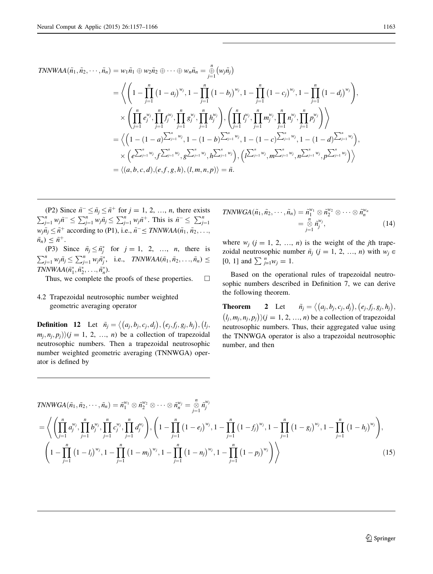TNNWAA(
$$
\tilde{n}_1, \tilde{n}_2, \dots, \tilde{n}_n
$$
) =  $w_1 \tilde{n}_1 \oplus w_2 \tilde{n}_2 \oplus \dots \oplus w_n \tilde{n}_n = \frac{a}{j=1} (w_j \tilde{n}_j)$   
\n= $\left\langle \left(1 - \prod_{j=1}^n (1 - a_j)^{w_j}, 1 - \prod_{j=1}^n (1 - b_j)^{w_j}, 1 - \prod_{j=1}^n (1 - c_j)^{w_j}, 1 - \prod_{j=1}^n (1 - d_j)^{w_j}\right), \times \left(\prod_{j=1}^n e_j^{w_j}, \prod_{j=1}^n f_j^{w_j}, \prod_{j=1}^n g_j^{w_j}, \prod_{j=1}^n h_j^{w_j}\right), \left(\prod_{j=1}^n I_j^{w_j}, \prod_{j=1}^n m_j^{w_j}, \prod_{j=1}^n n_j^{w_j}, \prod_{j=1}^n p_j^{w_j}\right)\right\rangle$   
\n= $\left\langle \left(1 - (1 - a) \sum_{j=1}^n w_j, 1 - (1 - b) \sum_{j=1}^n w_j, 1 - (1 - c) \sum_{j=1}^n w_j, 1 - (1 - d) \sum_{j=1}^n w_j\right), \times \left(e^{\sum_{j=1}^n w_j}, f^{\sum_{j=1}^n w_j}, g^{\sum_{j=1}^n w_j}, h^{\sum_{j=1}^n w_j}\right), \left(i^{\sum_{j=1}^n w_j}, m^{\sum_{j=1}^n w_j}, n^{\sum_{j=1}^n w_j}, p^{\sum_{j=1}^n w_j}\right)\right\rangle$   
\n= $\left\langle (a, b, c, d), (e, f, g, h), (l, m, n, p) \right\rangle = \tilde{n}.$ 

(P2) Since  $\tilde{n}^- \leq \tilde{n}_j \leq \tilde{n}^+$  for  $j = 1, 2, ..., n$ , there exists  $\sum_{j=1}^n w_j \tilde{n} \leq \sum_{j=1}^n w_j \tilde{n}_j \leq \sum_{j=1}^n w_j \tilde{n}^+$ . This is  $\tilde{n} \leq \sum_{j=1}^n w_j$  $w_i \tilde{n}_i \leq \tilde{n}^+$  according to (P1), i.e.,  $\tilde{n}^- \leq TNNWAA(\tilde{n}_1, \tilde{n}_2, \ldots,$  $\tilde{n}_n) \leq \tilde{n}^+$ .

(P3) Since  $\tilde{n}_j \leq \tilde{n}_j^*$  for  $j = 1, 2, ..., n$ , there is  $\sum_{j=1}^n w_j \tilde{n}_j \le \sum_{j=1}^n w_j \tilde{n}_j^*$ , i.e., *TNNWAA* $(\tilde{n}_1, \tilde{n}_2, \ldots, \tilde{n}_n) \le$  $TNNWAA(\tilde{n}_1^*, \tilde{n}_2^*, \ldots, \tilde{n}_n^*)$ .

Thus, we complete the proofs of these properties.  $\Box$ 

4.2 Trapezoidal neutrosophic number weighted geometric averaging operator

**Definition 12** Let  $\tilde{n}_j = \langle (a_j, b_j, c_j, d_j), (e_j, f_j, g_j, h_j), (l_j, d_j) \rangle$  $(m_i, n_i, p_i)$ ) $(j = 1, 2, ..., n)$  be a collection of trapezoidal neutrosophic numbers. Then a trapezoidal neutrosophic number weighted geometric averaging (TNNWGA) operator is defined by

$$
TNNWGA(\tilde{n}_1, \tilde{n}_2, \cdots, \tilde{n}_n) = \tilde{n}_1^{w_1} \otimes \tilde{n}_2^{w_2} \otimes \cdots \otimes \tilde{n}_n^{w_n}
$$
  
=  $\overset{n}{\underset{j=1}{\otimes}} \tilde{n}_j^{w_j},$  (14)

where  $w_i$   $(i = 1, 2, ..., n)$  is the weight of the *j*th trapezoidal neutrosophic number  $\tilde{n}_j$  (j = 1, 2, ..., n) with  $w_j \in$ [0, 1] and  $\sum_{j=1}^{n} w_j = 1$ .

Based on the operational rules of trapezoidal neutrosophic numbers described in Definition 7, we can derive the following theorem.

**Theorem** 2 Let  $\tilde{n}_j = \langle (a_j, b_j, c_j, d_j), (e_j, f_j, g_j, h_j), (h_j, f_j, g_j, h_j) \rangle$  $(l_j, m_j, n_j, p_j)$   $\langle j = 1, 2, ..., n \rangle$  be a collection of trapezoidal neutrosophic numbers. Thus, their aggregated value using the TNNWGA operator is also a trapezoidal neutrosophic number, and then

TNNWGA(
$$
\tilde{n}_1, \tilde{n}_2, \dots, \tilde{n}_n
$$
) =  $\tilde{n}_1^{w_1} \otimes \tilde{n}_2^{w_2} \otimes \dots \otimes \tilde{n}_n^{w_j} = \sum_{j=1}^n \tilde{n}_j^{w_j}$   
\n= $\left\langle \left( \prod_{j=1}^n a_j^{w_j}, \prod_{j=1}^n b_j^{w_j}, \prod_{j=1}^n c_j^{w_j}, \prod_{j=1}^n d_j^{w_j} \right), \left( 1 - \prod_{j=1}^n (1 - e_j)^{w_j}, 1 - \prod_{j=1}^n (1 - f_j)^{w_j}, 1 - \prod_{j=1}^n (1 - g_j)^{w_j}, 1 - \prod_{j=1}^n (1 - h_j)^{w_j} \right) \right\rangle$   
\n $\left( 1 - \prod_{j=1}^n (1 - l_j)^{w_j}, 1 - \prod_{j=1}^n (1 - m_j)^{w_j}, 1 - \prod_{j=1}^n (1 - h_j)^{w_j}, 1 - \prod_{j=1}^n (1 - p_j)^{w_j} \right) \right\rangle$  (15)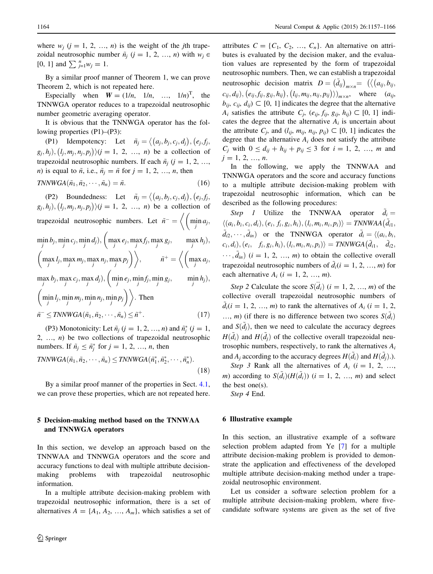<span id="page-7-0"></span>where  $w_i$  ( $j = 1, 2, ..., n$ ) is the weight of the *j*th trapezoidal neutrosophic number  $\tilde{n}_j$  (j = 1, 2, ..., n) with  $w_j \in$ [0, 1] and  $\sum_{j=1}^{n} w_j = 1$ .

By a similar proof manner of Theorem 1, we can prove Theorem 2, which is not repeated here.

Especially when  $W = (1/n, 1/n, ..., 1/n)^T$ , the TNNWGA operator reduces to a trapezoidal neutrosophic number geometric averaging operator.

It is obvious that the TNNWGA operator has the following properties (P1)–(P3):

(P1) Idempotency: Let  $\tilde{n}_j = \langle (a_j, b_j, c_j, d_j), (e_j, f_j, d_j) \rangle$  $(g_j, h_j), (l_j, m_j, n_j, p_j) \ (j = 1, 2, ..., n)$  be a collection of trapezoidal neutrosophic numbers. If each  $\tilde{n}_i$  ( $j = 1, 2, ...,$ *n*) is equal to  $\tilde{n}$ , i.e.,  $\tilde{n}_i = \tilde{n}$  for  $j = 1, 2, ..., n$ , then

$$
TNNWGA(\tilde{n}_1, \tilde{n}_2, \cdots, \tilde{n}_n) = \tilde{n}.\tag{16}
$$

(P2) Boundedness: Let  $\tilde{n}_j = \langle (a_j, b_j, c_j, d_j), (e_j, f_j, d_j) \rangle$  $g_j, h_j, (l_j, m_j, n_j, p_j)$ ) $(j = 1, 2, ..., n)$  be a collection of trapezoidal neutrosophic numbers. Let  $\tilde{n}^- = \left\langle \begin{array}{c} \min_j a_j, \end{array} \right\rangle$  $\frac{1}{2}$  $\min_j b_j, \min_j c_j, \min_j d_j), \left( \max_j e_j, \max_j f_j, \max_j g_j, \right)$  $\overline{\phantom{a}}$  $\max_j h_j$ ),  $\max_j l_j$ ,  $\max_j m_j$ ,  $\max_j n_j$ ,  $\max_j p_j$  $\sqrt{2}$  $, \qquad \tilde{n}^+=\Big\langle \Big(\max_j a_j,$  $\sqrt{ }$  $\max_j b_j, \max_j c_j, \max_j d_j), \Big(\min_j e_j, \min_j f_j, \min_j g_j,$  $\overline{1}$  $\min_j h_j$ ),  $\min_j l_j$ ,  $\min_j m_j$ ,  $\min_j n_j$ ,  $\min_j p_j$  $\left($ : Then  $\tilde{n}^{-} \leq TNNWGA(\tilde{n}_1, \tilde{n}_2, \cdots, \tilde{n}_n) \leq \tilde{n}^{+}.$ (17)

(P3) Monotonicity: Let  $\tilde{n}_j$  ( $j = 1, 2, ..., n$ ) and  $\tilde{n}_j^*$  ( $j = 1$ , 2, ...,  $n$ ) be two collections of trapezoidal neutrosophic numbers. If  $\tilde{n}_j \leq \tilde{n}_j^*$  for  $j = 1, 2, ..., n$ , then

$$
TNNWGA(\tilde{n}_1, \tilde{n}_2, \cdots, \tilde{n}_n) \leq TNNWGA(\tilde{n}_1^*, \tilde{n}_2^*, \cdots, \tilde{n}_n^*).
$$
\n(18)

By a similar proof manner of the properties in Sect. [4.1,](#page-3-0) we can prove these properties, which are not repeated here.

## 5 Decision-making method based on the TNNWAA and TNNWGA operators

In this section, we develop an approach based on the TNNWAA and TNNWGA operators and the score and accuracy functions to deal with multiple attribute decisionmaking problems with trapezoidal neutrosophic information.

In a multiple attribute decision-making problem with trapezoidal neutrosophic information, there is a set of alternatives  $A = \{A_1, A_2, ..., A_m\}$ , which satisfies a set of

attributes  $C = \{C_1, C_2, ..., C_n\}$ . An alternative on attributes is evaluated by the decision maker, and the evaluation values are represented by the form of trapezoidal neutrosophic numbers. Then, we can establish a trapezoidal neutrosophic decision matrix <sup>D</sup> <sup>¼</sup> <sup>d</sup>~ij m <sup>n</sup><sup>¼</sup> aij; bij;  $(c_{ij}, d_{ij}), (e_{ij}, f_{ij}, g_{ij}, h_{ij}), (l_{ij}, m_{ij}, n_{ij}, p_{ij})\rangle)_{m \times n}$ , where  $(a_{ij}, a_{ij})$  $b_{ii}$ ,  $c_{ii}$ ,  $d_{ii}$ )  $\subset$  [0, 1] indicates the degree that the alternative  $A_i$  satisfies the attribute  $C_j$ ,  $(e_{ij}, f_{ij}, g_{ij}, h_{ij}) \subset [0, 1]$  indicates the degree that the alternative  $A_i$  is uncertain about the attribute  $C_i$ , and  $(l_{ii}, m_{ii}, n_{ii}, p_{ii}) \subset [0, 1]$  indicates the degree that the alternative  $A_i$  does not satisfy the attribute  $C_j$  with  $0 \le d_{ij} + h_{ij} + p_{ij} \le 3$  for  $i = 1, 2, ..., m$  and  $j = 1, 2, ..., n$ .

In the following, we apply the TNNWAA and TNNWGA operators and the score and accuracy functions to a multiple attribute decision-making problem with trapezoidal neutrosophic information, which can be described as the following procedures:

Step 1 Utilize the TNNWAA operator  $\tilde{d}_i =$  $\langle (a_i, b_i, c_i, d_i), (e_i, f_i, g_i, h_i), (l_i, m_i, n_i, p_i) \rangle = \text{TNNWAA}(\tilde{d}_{i1},$  $\tilde{d}_{i2}, \dots, \tilde{d}_{in}$  or the TNNWGA operator  $\tilde{d}_i = \langle (a_i, b_i, \dots, a_i, d_i) \rangle$  $(c_i, d_i), (e_i, f_i, g_i, h_i), (l_i, m_i, n_i, p_i) \rangle = \text{TNNWGA}(\tilde{d}_{i1}, \tilde{d}_{i2};$  $\cdots$ ,  $\tilde{d}_{in}$ ) (i = 1, 2, ..., m) to obtain the collective overall trapezoidal neutrosophic numbers of  $\tilde{d}_i(i = 1, 2, ..., m)$  for each alternative  $A_i$  ( $i = 1, 2, ..., m$ ).

Step 2 Calculate the score  $S(\ddot{d}_i)$   $(i = 1, 2, ..., m)$  of the collective overall trapezoidal neutrosophic numbers of  $d_i(i = 1, 2, ..., m)$  to rank the alternatives of  $A_i$   $(i = 1, 2, ...)$  $..., m$ ) (if there is no difference between two scores  $S(\tilde{d}_i)$ and  $S(\tilde{d}_i)$ , then we need to calculate the accuracy degrees  $H(\tilde{d}_i)$  and  $H(\tilde{d}_i)$  of the collective overall trapezoidal neutrosophic numbers, respectively, to rank the alternatives  $A_i$ and  $A_i$  according to the accuracy degrees  $H(\tilde{d}_i)$  and  $H(\tilde{d}_i)$ .).

Step 3 Rank all the alternatives of  $A_i$  (i = 1, 2, ..., m) according to  $S(\tilde{d}_i)(H(\tilde{d}_i))$  (i = 1, 2, ..., m) and select the best one(s).

Step 4 End.

#### 6 Illustrative example

In this section, an illustrative example of a software selection problem adapted from Ye [\[7](#page-9-0)] for a multiple attribute decision-making problem is provided to demonstrate the application and effectiveness of the developed multiple attribute decision-making method under a trapezoidal neutrosophic environment.

Let us consider a software selection problem for a multiple attribute decision-making problem, where fivecandidate software systems are given as the set of five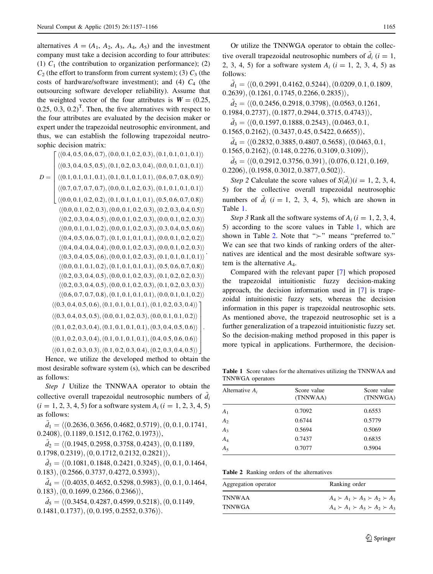alternatives  $A = (A_1, A_2, A_3, A_4, A_5)$  and the investment company must take a decision according to four attributes: (1)  $C_1$  (the contribution to organization performance); (2)  $C_2$  (the effort to transform from current system); (3)  $C_3$  (the costs of hardware/software investment); and (4)  $C_4$  (the outsourcing software developer reliability). Assume that the weighted vector of the four attributes is  $W = (0.25,$  $(0.25, 0.3, 0.2)^T$ . Then, the five alternatives with respect to the four attributes are evaluated by the decision maker or expert under the trapezoidal neutrosophic environment, and thus, we can establish the following trapezoidal neutrosophic decision matrix:

 $D =$  $\langle (0.4, 0.5, 0.6, 0.7), (0.0, 0.1, 0.2, 0.3), (0.1, 0.1, 0.1, 0.1) \rangle$  $\langle (0.3, 0.4, 0.5, 0.5), (0.1, 0.2, 0.3, 0.4), (0.0, 0.1, 0.1, 0.1) \rangle$  $\langle (0.1, 0.1, 0.1, 0.1), (0.1, 0.1, 0.1, 0.1), (0.6, 0.7, 0.8, 0.9) \rangle$  $\langle (0.7, 0.7, 0.7, 0.7), (0.0, 0.1, 0.2, 0.3), (0.1, 0.1, 0.1, 0.1) \rangle$  $\langle (0.0, 0.1, 0.2, 0.2), (0.1, 0.1, 0.1, 0.1), (0.5, 0.6, 0.7, 0.8) \rangle$  $\overline{1}$  $\overline{a}$  $\overline{1}$  $\overline{a}$  $\overline{1}$  $\overline{1}$  $\overline{a}$  $\overline{1}$  $\overline{1}$ 4  $\langle (0.0, 0.1, 0.2, 0.3), (0.0, 0.1, 0.2, 0.3), (0.2, 0.3, 0.4, 0.5) \rangle$  $\langle (0.2, 0.3, 0.4, 0.5), (0.0, 0.1, 0.2, 0.3), (0.0, 0.1, 0.2, 0.3) \rangle$  $\langle (0.0, 0.1, 0.1, 0.2), (0.0, 0.1, 0.2, 0.3), (0.3, 0.4, 0.5, 0.6) \rangle$  $\langle (0.4, 0.5, 0.6, 0.7), (0.1, 0.1, 0.1, 0.1), (0.0, 0.1, 0.2, 0.2) \rangle$  $\langle (0.4, 0.4, 0.4, 0.4), (0.0, 0.1, 0.2, 0.3), (0.0, 0.1, 0.2, 0.3) \rangle$  $\langle (0.3, 0.4, 0.5, 0.6), (0.0, 0.1, 0.2, 0.3), (0.1, 0.1, 0.1, 0.1) \rangle$  $\langle (0.0, 0.1, 0.1, 0.2), (0.1, 0.1, 0.1, 0.1), (0.5, 0.6, 0.7, 0.8) \rangle$  $\langle (0.2, 0.3, 0.4, 0.5), (0.0, 0.1, 0.2, 0.3), (0.1, 0.2, 0.2, 0.3) \rangle$  $\langle (0.2, 0.3, 0.4, 0.5), (0.0, 0.1, 0.2, 0.3), (0.1, 0.2, 0.3, 0.3) \rangle$  $\langle (0.6, 0.7, 0.7, 0.8), (0.1, 0.1, 0.1, 0.1), (0.0, 0.1, 0.1, 0.2) \rangle$  $\langle (0.3, 0.4, 0.5, 0.6), (0.1, 0.1, 0.1, 0.1), (0.1, 0.2, 0.3, 0.4) \rangle$ ]  $\langle (0.3, 0.4, 0.5, 0.5), (0.0, 0.1, 0.2, 0.3), (0.0, 0.1, 0.1, 0.2) \rangle$  $\langle (0.1, 0.2, 0.3, 0.4), (0.1, 0.1, 0.1, 0.1), (0.3, 0.4, 0.5, 0.6) \rangle$  $\langle (0.1, 0.2, 0.3, 0.4), (0.1, 0.1, 0.1, 0.1), (0.4, 0.5, 0.6, 0.6) \rangle$  $\langle (0.1, 0.2, 0.3, 0.3), (0.1, 0.2, 0.3, 0.4), (0.2, 0.3, 0.4, 0.5) \rangle$  $\overline{1}$  $\overline{1}$  $\overline{1}$  $\overline{1}$  $\overline{1}$  $\overline{1}$  $\overline{1}$  $\overline{1}$  $\overline{1}$ : .

Hence, we utilize the developed method to obtain the most desirable software system (s), which can be described as follows:

Step 1 Utilize the TNNWAA operator to obtain the collective overall trapezoidal neutrosophic numbers of  $\tilde{d}_i$  $(i = 1, 2, 3, 4, 5)$  for a software system  $A_i$   $(i = 1, 2, 3, 4, 5)$ as follows:

 $d_1 = \langle (0.2636, 0.3656, 0.4682, 0.5719), (0, 0.1, 0.1741,$  $(0.2408), (0.1189, 0.1512, 0.1762, 0.1973)$ 

 $\tilde{d}_2$  =  $\langle (0.1945, 0.2958, 0.3758, 0.4243), (0, 0.1189,$  $(0.1798, 0.2319), (0, 0.1712, 0.2132, 0.2821)$ 

 $d_3 = \langle (0.1081, 0.1848, 0.2421, 0.3245), (0, 0.1, 0.1464,$  $(0.183), (0.2566, 0.3737, 0.4272, 0.5393)$ ,

 $d_4 = \langle (0.4035, 0.4652, 0.5298, 0.5983), (0, 0.1, 0.1464,$  $(0.183), (0, 0.1699, 0.2366, 0.2366)$ 

 $\tilde{d}_5 = \langle (0.3454, 0.4287, 0.4599, 0.5218), (0, 0.1149,$  $(0.1481, 0.1737), (0, 0.195, 0.2552, 0.376)$ .

Or utilize the TNNWGA operator to obtain the collective overall trapezoidal neutrosophic numbers of  $\tilde{d}_i$  (i = 1, 2, 3, 4, 5) for a software system  $A_i$   $(i = 1, 2, 3, 4, 5)$  as follows:

 $\tilde{d}_1 = \langle (0, 0.2991, 0.4162, 0.5244), (0.0209, 0.1, 0.1809,$  $(0.2639), (0.1261, 0.1745, 0.2266, 0.2835)$ 

 $d_2 = \langle (0, 0.2456, 0.2918, 0.3798), (0.0563, 0.1261,$ 

 $(0.1984, 0.2737), (0.1877, 0.2944, 0.3715, 0.4743)$ 

 $d_3 = \langle (0, 0.1597, 0.1888, 0.2543), (0.0463, 0.1,$ 

 $(0.1565, 0.2162), (0.3437, 0.45, 0.5422, 0.6655)),$  $\tilde{d}_4 = \langle (0.2832, 0.3885, 0.4807, 0.5658), (0.0463, 0.1,$ 

 $0.1565, 0.2162), (0.148, 0.2276, 0.3109, 0.3109)$ 

 $d_5 = \langle (0, 0.2912, 0.3756, 0.391), (0.076, 0.121, 0.169,$  $(0.2206), (0.1958, 0.3012, 0.3877, 0.502)$ .

Step 2 Calculate the score values of  $S(d_i)(i = 1, 2, 3, 4, ...)$ 5) for the collective overall trapezoidal neutrosophic numbers of  $\tilde{d}_i$  (i = 1, 2, 3, 4, 5), which are shown in Table 1.

Step 3 Rank all the software systems of  $A_i$  ( $i = 1, 2, 3, 4$ , 5) according to the score values in Table 1, which are shown in Table 2. Note that " $\succ$ " means "preferred to." We can see that two kinds of ranking orders of the alternatives are identical and the most desirable software system is the alternative  $A_4$ .

Compared with the relevant paper [[7\]](#page-9-0) which proposed the trapezoidal intuitionistic fuzzy decision-making approach, the decision information used in [\[7](#page-9-0)] is trapezoidal intuitionistic fuzzy sets, whereas the decision information in this paper is trapezoidal neutrosophic sets. As mentioned above, the trapezoid neutrosophic set is a further generalization of a trapezoid intuitionistic fuzzy set. So the decision-making method proposed in this paper is more typical in applications. Furthermore, the decision-

Table 1 Score values for the alternatives utilizing the TNNWAA and TNNWGA operators

| Alternative $A_i$ | Score value<br>(TNNWAA) | Score value<br>(TNNWGA) |
|-------------------|-------------------------|-------------------------|
| $A_1$             | 0.7092                  | 0.6553                  |
| A <sub>2</sub>    | 0.6744                  | 0.5779                  |
| $A_3$             | 0.5694                  | 0.5069                  |
| $A_4$             | 0.7437                  | 0.6835                  |
| $A_5$             | 0.7077                  | 0.5904                  |

Table 2 Ranking orders of the alternatives

| Aggregation operator | Ranking order                                 |
|----------------------|-----------------------------------------------|
| TNNWAA               | $A_4 \succ A_1 \succ A_5 \succ A_2 \succ A_3$ |
| TNNWGA               | $A_4 \succ A_1 \succ A_5 \succ A_2 \succ A_3$ |